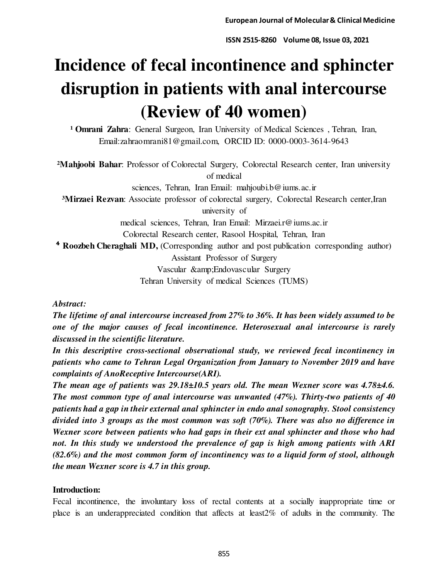# **Incidence of fecal incontinence and sphincter disruption in patients with anal intercourse (Review of 40 women)**

<sup>1</sup> Omrani Zahra: General Surgeon, Iran University of Medical Sciences, Tehran, Iran, Email:zahraomrani81@gmail.com, ORCID ID: 0000-0003-3614-9643

**²Mahjoobi Bahar**: Professor of Colorectal Surgery, Colorectal Research center, Iran university of medical

sciences, Tehran, Iran Email: mahjoubi.b@iums.ac.ir

<sup>3</sup>Mirzaei Rezvan: Associate professor of colorectal surgery, Colorectal Research center, Iran university of

medical sciences, Tehran, Iran Email: Mirzaei.r@iums.ac.ir

Colorectal Research center, Rasool Hospital, Tehran, Iran

<sup>4</sup> Roozbeh Cheraghali MD, (Corresponding author and post publication corresponding author)

Assistant Professor of Surgery

Vascular & Endovascular Surgery

Tehran University of medical Sciences (TUMS)

## *Abstract:*

*The lifetime of anal intercourse increased from 27% to 36%. It has been widely assumed to be one of the major causes of fecal incontinence. Heterosexual anal intercourse is rarely discussed in the scientific literature.* 

*In this descriptive cross-sectional observational study, we reviewed fecal incontinency in patients who came to Tehran Legal Organization from January to November 2019 and have complaints of AnoReceptive Intercourse(ARI).* 

*The mean age of patients was 29.18±10.5 years old. The mean Wexner score was 4.78±4.6. The most common type of anal intercourse was unwanted (47%). Thirty-two patients of 40 patients had a gap in their external anal sphincter in endo anal sonography. Stool consistency divided into 3 groups as the most common was soft (70%). There was also no difference in Wexner score between patients who had gaps in their ext anal sphincter and those who had not. In this study we understood the prevalence of gap is high among patients with ARI (82.6%) and the most common form of incontinency was to a liquid form of stool, although the mean Wexner score is 4.7 in this group.* 

# **Introduction:**

Fecal incontinence, the involuntary loss of rectal contents at a socially inappropriate time or place is an underappreciated condition that affects at least2% of adults in the community. The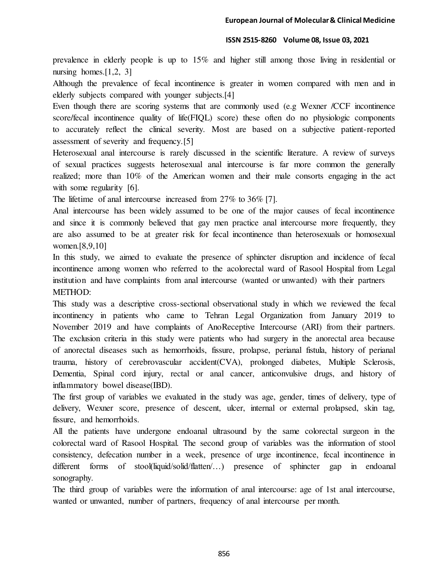prevalence in elderly people is up to 15% and higher still among those living in residential or nursing homes. $[1,2, 3]$ 

Although the prevalence of fecal incontinence is greater in women compared with men and in elderly subjects compared with younger subjects.[4]

Even though there are scoring systems that are commonly used (e.g Wexner /CCF incontinence score/fecal incontinence quality of life(FIQL) score) these often do no physiologic components to accurately reflect the clinical severity. Most are based on a subjective patient-reported assessment of severity and frequency.[5]

Heterosexual anal intercourse is rarely discussed in the scientific literature. A review of surveys of sexual practices suggests heterosexual anal intercourse is far more common the generally realized; more than 10% of the American women and their male consorts engaging in the act with some regularity [6].

The lifetime of anal intercourse increased from 27% to 36% [7].

Anal intercourse has been widely assumed to be one of the major causes of fecal incontinence and since it is commonly believed that gay men practice anal intercourse more frequently, they are also assumed to be at greater risk for fecal incontinence than heterosexuals or homosexual women.[8,9,10]

In this study, we aimed to evaluate the presence of sphincter disruption and incidence of fecal incontinence among women who referred to the acolorectal ward of Rasool Hospital from Legal institution and have complaints from anal intercourse (wanted or unwanted) with their partners METHOD:

This study was a descriptive cross-sectional observational study in which we reviewed the fecal incontinency in patients who came to Tehran Legal Organization from January 2019 to November 2019 and have complaints of AnoReceptive Intercourse (ARI) from their partners. The exclusion criteria in this study were patients who had surgery in the anorectal area because of anorectal diseases such as hemorrhoids, fissure, prolapse, perianal fistula, history of perianal trauma, history of cerebrovascular accident(CVA), prolonged diabetes, Multiple Sclerosis, Dementia, Spinal cord injury, rectal or anal cancer, anticonvulsive drugs, and history of inflammatory bowel disease(IBD).

The first group of variables we evaluated in the study was age, gender, times of delivery, type of delivery, Wexner score, presence of descent, ulcer, internal or external prolapsed, skin tag, fissure, and hemorrhoids.

All the patients have undergone endoanal ultrasound by the same colorectal surgeon in the colorectal ward of Rasool Hospital. The second group of variables was the information of stool consistency, defecation number in a week, presence of urge incontinence, fecal incontinence in different forms of stool(liquid/solid/flatten/…) presence of sphincter gap in endoanal sonography.

The third group of variables were the information of anal intercourse: age of 1st anal intercourse, wanted or unwanted, number of partners, frequency of anal intercourse per month.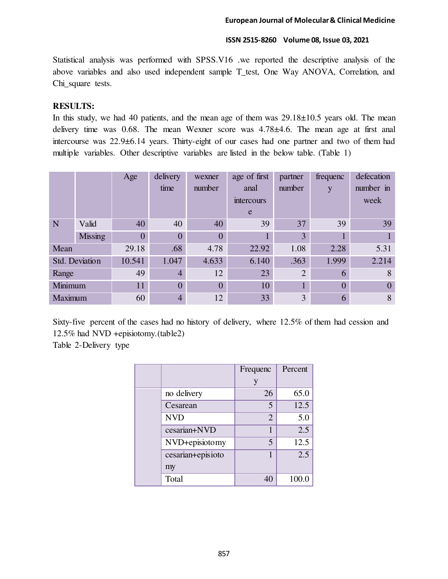Statistical analysis was performed with SPSS.V16 .we reported the descriptive analysis of the above variables and also used independent sample T\_test, One Way ANOVA, Correlation, and Chi\_square tests.

## **RESULTS:**

In this study, we had 40 patients, and the mean age of them was  $29.18\pm10.5$  years old. The mean delivery time was 0.68. The mean Wexner score was 4.78±4.6. The mean age at first anal intercourse was 22.9±6.14 years. Thirty-eight of our cases had one partner and two of them had multiple variables. Other descriptive variables are listed in the below table. (Table 1)

|                |                | Age            | delivery<br>time | wexner<br>number | age of first<br>anal<br>intercours<br>e | partner<br>number | frequenc<br>y | defecation<br>number in<br>week |
|----------------|----------------|----------------|------------------|------------------|-----------------------------------------|-------------------|---------------|---------------------------------|
| N              | Valid          | 40             | 40               | 40               | 39                                      | 37                | 39            | 39                              |
|                | <b>Missing</b> | $\overline{0}$ | $\overline{0}$   | $\Omega$         |                                         | 3                 |               |                                 |
| Mean           |                | 29.18          | .68              | 4.78             | 22.92                                   | 1.08              | 2.28          | 5.31                            |
| Std. Deviation |                | 10.541         | 1.047            | 4.633            | 6.140                                   | .363              | 1.999         | 2.214                           |
| Range          |                | 49             | $\overline{4}$   | 12               | 23                                      | $\overline{2}$    | 6             | 8                               |
| Minimum        |                | 11             | $\overline{0}$   | $\Omega$         | 10                                      |                   | $\theta$      | $\Omega$                        |
| Maximum        |                | 60             | $\overline{4}$   | 12               | 33                                      | 3                 | 6             | 8                               |

Sixty-five percent of the cases had no history of delivery, where 12.5% of them had cession and 12.5% had NVD +episiotomy.(table2)

Table 2-Delivery type

|  |                   | Frequenc       | Percent |
|--|-------------------|----------------|---------|
|  |                   |                |         |
|  | no delivery       | 26             | 65.0    |
|  | Cesarean          | 5              | 12.5    |
|  | <b>NVD</b>        | $\overline{2}$ | 5.0     |
|  | cesarian+NVD      | 1              | 2.5     |
|  | NVD+episiotomy    | 5              | 12.5    |
|  | cesarian+episioto | 1              | 2.5     |
|  | my                |                |         |
|  | Total             | 40             | 100.0   |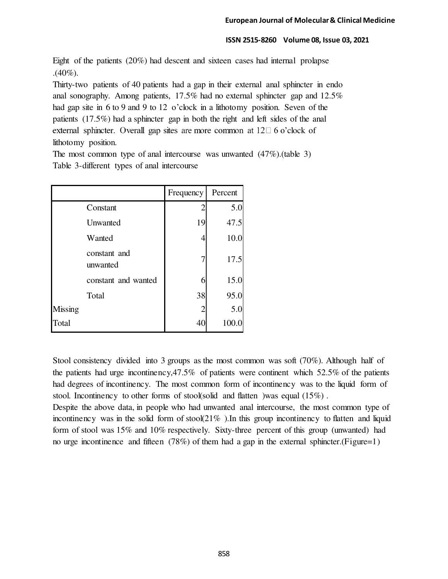Eight of the patients (20%) had descent and sixteen cases had internal prolapse .(40%).

Thirty-two patients of 40 patients had a gap in their external anal sphincter in endo anal sonography. Among patients, 17.5% had no external sphincter gap and 12.5% had gap site in 6 to 9 and 9 to 12 o'clock in a lithotomy position. Seven of the patients (17.5%) had a sphincter gap in both the right and left sides of the anal external sphincter. Overall gap sites are more common at  $12\Box 6$  o'clock of lithotomy position.

The most common type of anal intercourse was unwanted (47%).(table 3) Table 3-different types of anal intercourse

|         |                          | Frequency | Percent |
|---------|--------------------------|-----------|---------|
|         | Constant                 | 2         | 5.0     |
|         | Unwanted                 | 19        | 47.5    |
|         | Wanted                   | 4         | 10.0    |
|         | constant and<br>unwanted | 7         | 17.5    |
|         | constant and wanted      | 6         | 15.0    |
|         | Total                    | 38        | 95.0    |
| Missing |                          | 2         | 5.0     |
| Total   |                          | 40        | 100.0   |

Stool consistency divided into 3 groups as the most common was soft (70%). Although half of the patients had urge incontinency,47.5% of patients were continent which 52.5% of the patients had degrees of incontinency. The most common form of incontinency was to the liquid form of stool. Incontinency to other forms of stool(solid and flatten )was equal (15%) .

Despite the above data, in people who had unwanted anal intercourse, the most common type of incontinency was in the solid form of stool( $21\%$ ). In this group incontinency to flatten and liquid form of stool was 15% and 10% respectively. Sixty-three percent of this group (unwanted) had no urge incontinence and fifteen (78%) of them had a gap in the external sphincter.(Figure=1)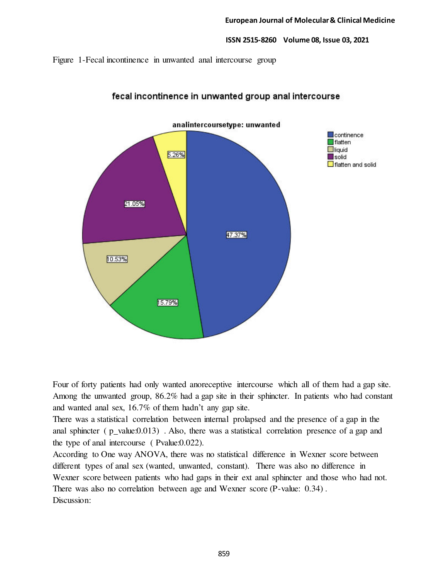Figure 1-Fecal incontinence in unwanted anal intercourse group



# fecal incontinence in unwanted group anal intercourse

Four of forty patients had only wanted anoreceptive intercourse which all of them had a gap site. Among the unwanted group, 86.2% had a gap site in their sphincter. In patients who had constant and wanted anal sex, 16.7% of them hadn't any gap site.

There was a statistical correlation between internal prolapsed and the presence of a gap in the anal sphincter (  $p$ \_value:0.013) . Also, there was a statistical correlation presence of a gap and the type of anal intercourse ( Pvalue:0.022).

According to One way ANOVA, there was no statistical difference in Wexner score between different types of anal sex (wanted, unwanted, constant). There was also no difference in Wexner score between patients who had gaps in their ext anal sphincter and those who had not. There was also no correlation between age and Wexner score (P-value: 0.34) . Discussion: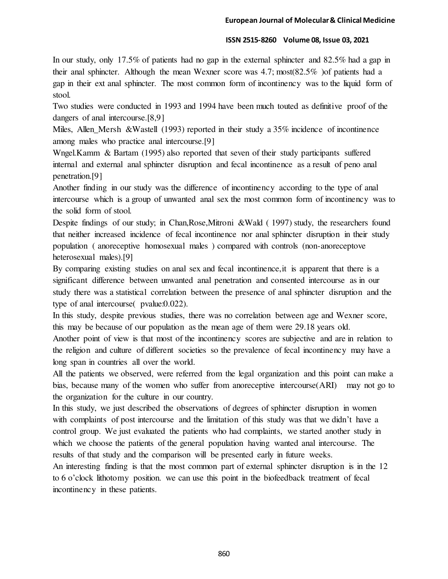In our study, only 17.5% of patients had no gap in the external sphincter and 82.5% had a gap in their anal sphincter. Although the mean Wexner score was 4.7; most(82.5% )of patients had a gap in their ext anal sphincter. The most common form of incontinency was to the liquid form of stool.

Two studies were conducted in 1993 and 1994 have been much touted as definitive proof of the dangers of anal intercourse.[8,9]

Miles, Allen\_Mersh &Wastell (1993) reported in their study a 35% incidence of incontinence among males who practice anal intercourse.[9]

Wngel.Kamm & Bartam (1995) also reported that seven of their study participants suffered internal and external anal sphincter disruption and fecal incontinence as a result of peno anal penetration.[9]

Another finding in our study was the difference of incontinency according to the type of anal intercourse which is a group of unwanted anal sex the most common form of incontinency was to the solid form of stool.

Despite findings of our study; in Chan,Rose,Mitroni &Wald ( 1997) study, the researchers found that neither increased incidence of fecal incontinence nor anal sphincter disruption in their study population ( anoreceptive homosexual males ) compared with controls (non-anoreceptove heterosexual males).[9]

By comparing existing studies on anal sex and fecal incontinence,it is apparent that there is a significant difference between unwanted anal penetration and consented intercourse as in our study there was a statistical correlation between the presence of anal sphincter disruption and the type of anal intercourse( pvalue:0.022).

In this study, despite previous studies, there was no correlation between age and Wexner score, this may be because of our population as the mean age of them were 29.18 years old.

Another point of view is that most of the incontinency scores are subjective and are in relation to the religion and culture of different societies so the prevalence of fecal incontinency may have a long span in countries all over the world.

All the patients we observed, were referred from the legal organization and this point can make a bias, because many of the women who suffer from anoreceptive intercourse(ARI) may not go to the organization for the culture in our country.

In this study, we just described the observations of degrees of sphincter disruption in women with complaints of post intercourse and the limitation of this study was that we didn't have a control group. We just evaluated the patients who had complaints, we started another study in which we choose the patients of the general population having wanted anal intercourse. The results of that study and the comparison will be presented early in future weeks.

An interesting finding is that the most common part of external sphincter disruption is in the 12 to 6 o'clock lithotomy position. we can use this point in the biofeedback treatment of fecal incontinency in these patients.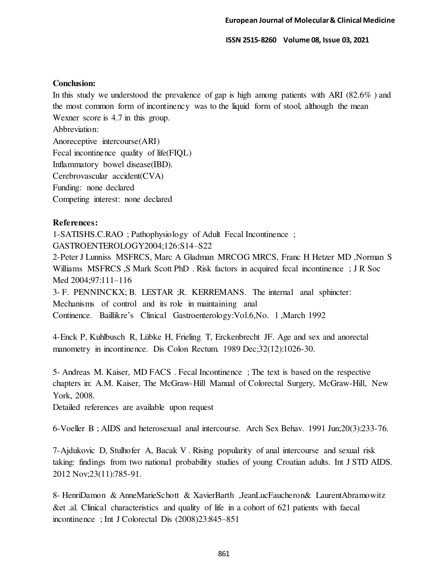## **Conclusion:**

In this study we understood the prevalence of gap is high among patients with ARI (82.6% ) and the most common form of incontinency was to the liquid form of stool, although the mean Wexner score is 4.7 in this group.

Abbreviation:

Anoreceptive intercourse(ARI) Fecal incontinence quality of life(FIQL) Inflammatory bowel disease(IBD). Cerebrovascular accident(CVA) Funding: none declared Competing interest: none declared

# **References:**

1-SATISHS.C.RAO ; Pathophysiology of Adult Fecal Incontinence ; GASTROENTEROLOGY2004;126:S14–S22

2-Peter J Lunniss MSFRCS, Marc A Gladman MRCOG MRCS, Franc H Hetzer MD ,Norman S Williams MSFRCS ,S Mark Scott PhD . Risk factors in acquired fecal incontinence ; J R Soc Med 2004;97:111–116

3- F. PENNINCKX; B. LESTAR ;R. KERREMANS. The internal anal sphincter: Mechanisms of control and its role in maintaining anal Continence. Baillikre's Clinical Gastroenterology:Vol.6,No. l ,March 1992

4[-Enck P,](http://www.ncbi.nlm.nih.gov/pubmed?term=%22Enck%20P%22%5BAuthor%5D) [Kuhlbusch R,](http://www.ncbi.nlm.nih.gov/pubmed?term=%22Kuhlbusch%20R%22%5BAuthor%5D) [Lübke H,](http://www.ncbi.nlm.nih.gov/pubmed?term=%22L%C3%BCbke%20H%22%5BAuthor%5D) [Frieling T,](http://www.ncbi.nlm.nih.gov/pubmed?term=%22Frieling%20T%22%5BAuthor%5D) [Erckenbrecht JF.](http://www.ncbi.nlm.nih.gov/pubmed?term=%22Erckenbrecht%20JF%22%5BAuthor%5D) Age and sex and anorectal manometry in incontinence. [Dis Colon Rectum.](http://www.ncbi.nlm.nih.gov/pubmed/2591277) 1989 Dec;32(12):1026-30.

5- Andreas M. Kaiser, MD FACS . Fecal Incontinence ; The text is based on the respective chapters in: A.M. Kaiser, The McGraw-Hill Manual of Colorectal Surgery, McGraw-Hill, New York, 2008.

Detailed references are available upon request

6[-Voeller B](http://www.ncbi.nlm.nih.gov/pubmed?term=Voeller%20B%5BAuthor%5D&cauthor=true&cauthor_uid=2059146) ; AIDS and heterosexual anal intercourse. [Arch Sex Behav.](http://www.ncbi.nlm.nih.gov/pubmed/2059146) 1991 Jun;20(3):233-76.

7[-Ajdukovic D,](http://www.ncbi.nlm.nih.gov/pubmed?term=Ajdukovic%20D%5BAuthor%5D&cauthor=true&cauthor_uid=23155098) [Stulhofer A,](http://www.ncbi.nlm.nih.gov/pubmed?term=Stulhofer%20A%5BAuthor%5D&cauthor=true&cauthor_uid=23155098) [Bacak V](http://www.ncbi.nlm.nih.gov/pubmed?term=Bacak%20V%5BAuthor%5D&cauthor=true&cauthor_uid=23155098) . Rising popularity of anal intercourse and sexual risk taking: findings from two national probability studies of young Croatian adults. [Int J STD AIDS.](http://www.ncbi.nlm.nih.gov/pubmed/23155098)  2012 Nov;23(11):785-91.

8- HenriDamon & AnneMarieSchott & XavierBarth ,JeanLucFaucheron& LaurentAbramowitz &et .al. Clinical characteristics and quality of life in a cohort of 621 patients with faecal incontinence ; Int J Colorectal Dis (2008)23:845–851